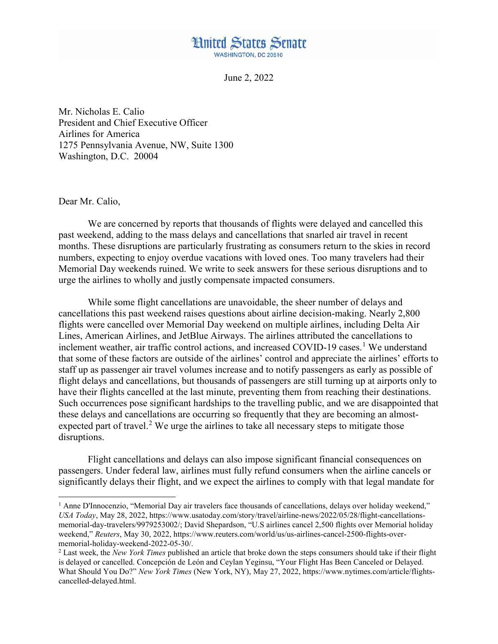## **Hnited States Senate WASHINGTON, DC 20510**

June 2, 2022

Mr. Nicholas E. Calio President and Chief Executive Officer Airlines for America 1275 Pennsylvania Avenue, NW, Suite 1300 Washington, D.C. 20004

Dear Mr. Calio,

l

We are concerned by reports that thousands of flights were delayed and cancelled this past weekend, adding to the mass delays and cancellations that snarled air travel in recent months. These disruptions are particularly frustrating as consumers return to the skies in record numbers, expecting to enjoy overdue vacations with loved ones. Too many travelers had their Memorial Day weekends ruined. We write to seek answers for these serious disruptions and to urge the airlines to wholly and justly compensate impacted consumers.

While some flight cancellations are unavoidable, the sheer number of delays and cancellations this past weekend raises questions about airline decision-making. Nearly 2,800 flights were cancelled over Memorial Day weekend on multiple airlines, including Delta Air Lines, American Airlines, and JetBlue Airways. The airlines attributed the cancellations to inclement weather, air traffic control actions, and increased COVID-[1](#page-0-0)9 cases.<sup>1</sup> We understand that some of these factors are outside of the airlines' control and appreciate the airlines' efforts to staff up as passenger air travel volumes increase and to notify passengers as early as possible of flight delays and cancellations, but thousands of passengers are still turning up at airports only to have their flights cancelled at the last minute, preventing them from reaching their destinations. Such occurrences pose significant hardships to the travelling public, and we are disappointed that these delays and cancellations are occurring so frequently that they are becoming an almost-expected part of travel.<sup>[2](#page-0-1)</sup> We urge the airlines to take all necessary steps to mitigate those disruptions.

Flight cancellations and delays can also impose significant financial consequences on passengers. Under federal law, airlines must fully refund consumers when the airline cancels or significantly delays their flight, and we expect the airlines to comply with that legal mandate for

<span id="page-0-0"></span><sup>&</sup>lt;sup>1</sup> Anne D'Innocenzio, "Memorial Day air travelers face thousands of cancellations, delays over holiday weekend," *USA Today*, May 28, 2022, https://www.usatoday.com/story/travel/airline-news/2022/05/28/flight-cancellationsmemorial-day-travelers/9979253002/; David Shepardson, "U.S airlines cancel 2,500 flights over Memorial holiday weekend," *Reuters*, May 30, 2022, https://www.reuters.com/world/us/us-airlines-cancel-2500-flights-overmemorial-holiday-weekend-2022-05-30/.

<span id="page-0-1"></span><sup>2</sup> Last week, the *New York Times* published an article that broke down the steps consumers should take if their flight is delayed or cancelled. Concepción de León and Ceylan Yeginsu, "Your Flight Has Been Canceled or Delayed. What Should You Do?" *New York Times* (New York, NY), May 27, 2022, https://www.nytimes.com/article/flightscancelled-delayed.html.